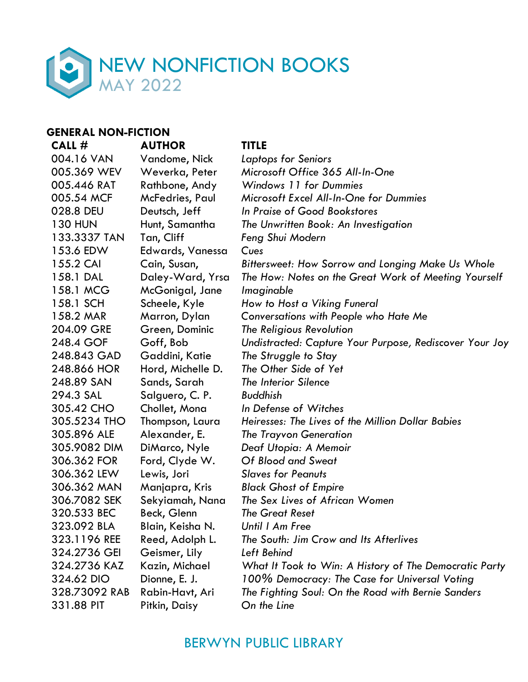

### **GENERAL NON-FICTION**

**CALL # AUTHOR TITLE** 004.16 VAN Vandome, Nick *Laptops for Seniors* 005.369 WEV Weverka, Peter *Microsoft Office 365 All-In-One* 005.446 RAT Rathbone, Andy *Windows 11 for Dummies* 028.8 DEU Deutsch, Jeff *In Praise of Good Bookstores* 133.3337 TAN Tan, Cliff *Feng Shui Modern* 153.6 EDW Edwards, Vanessa *Cues* 158.1 MCG McGonigal, Jane *Imaginable* 158.1 SCH Scheele, Kyle *How to Host a Viking Funeral* 204.09 GRE Green, Dominic *The Religious Revolution*  248.843 GAD Gaddini, Katie *The Struggle to Stay* 248.866 HOR Hord, Michelle D. *The Other Side of Yet* 248.89 SAN Sands, Sarah *The Interior Silence* 294.3 SAL Salguero, C. P. *Buddhish* 305.42 CHO Chollet, Mona *In Defense of Witches* 305.896 ALE Alexander, E. *The Trayvon Generation* 305.9082 DIM DiMarco, Nyle *Deaf Utopia: A Memoir* 306.362 FOR Ford, Clyde W. *Of Blood and Sweat* 306.362 LEW Lewis, Jori *Slaves for Peanuts* 306.362 MAN Manjapra, Kris *Black Ghost of Empire* 306.7082 SEK Sekyiamah, Nana *The Sex Lives of African Women* 320.533 BEC Beck, Glenn *The Great Reset* 323.092 BLA Blain, Keisha N. *Until I Am Free* 324.2736 GEI Geismer, Lily *Left Behind* 331.88 PIT Pitkin, Daisy *On the Line*

005.54 MCF McFedries, Paul *Microsoft Excel All-In-One for Dummies* 130 HUN Hunt, Samantha *The Unwritten Book: An Investigation* 155.2 CAI Cain, Susan, *Bittersweet: How Sorrow and Longing Make Us Whole* 158.1 DAL Daley-Ward, Yrsa *The How: Notes on the Great Work of Meeting Yourself* 158.2 MAR Marron, Dylan *Conversations with People who Hate Me* 248.4 GOF Goff, Bob *Undistracted: Capture Your Purpose, Rediscover Your Joy* 305.5234 THO Thompson, Laura *Heiresses: The Lives of the Million Dollar Babies* 323.1196 REE Reed, Adolph L. *The South: Jim Crow and Its Afterlives* 324.2736 KAZ Kazin, Michael *What It Took to Win: A History of The Democratic Party* 324.62 DIO Dionne, E. J. *100% Democracy: The Case for Universal Voting* 328.73092 RAB Rabin-Havt, Ari *The Fighting Soul: On the Road with Bernie Sanders*

## BERWYN PUBLIC LIBRARY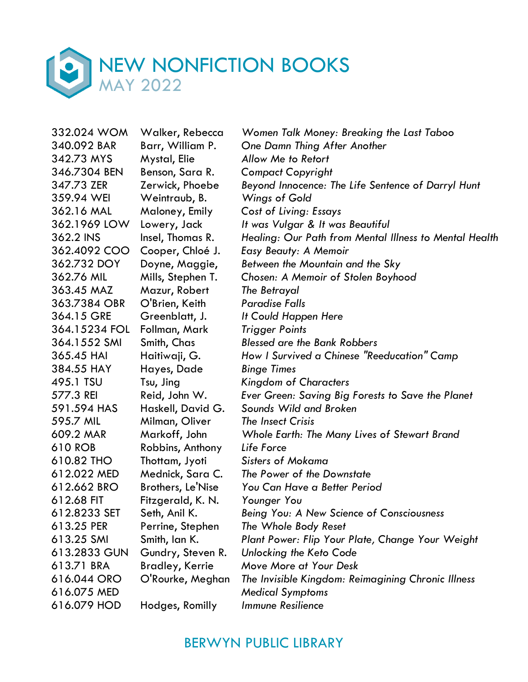

| 332.024 WOM   | Walker, Rebecca        | Women Talk Money: Breaking the Last Taboo              |
|---------------|------------------------|--------------------------------------------------------|
| 340.092 BAR   | Barr, William P.       | One Damn Thing After Another                           |
| 342.73 MYS    | Mystal, Elie           | Allow Me to Retort                                     |
| 346.7304 BEN  | Benson, Sara R.        | <b>Compact Copyright</b>                               |
| 347.73 ZER    | Zerwick, Phoebe        | Beyond Innocence: The Life Sentence of Darryl Hunt     |
| 359.94 WEI    | Weintraub, B.          | Wings of Gold                                          |
| 362.16 MAL    | Maloney, Emily         | Cost of Living: Essays                                 |
| 362.1969 LOW  | Lowery, Jack           | It was Vulgar & It was Beautiful                       |
| 362.2 INS     | Insel, Thomas R.       | Healing: Our Path from Mental Illness to Mental Health |
| 362.4092 COO  | Cooper, Chloé J.       | Easy Beauty: A Memoir                                  |
| 362.732 DOY   | Doyne, Maggie,         | Between the Mountain and the Sky                       |
| 362.76 MIL    | Mills, Stephen T.      | Chosen: A Memoir of Stolen Boyhood                     |
| 363.45 MAZ    | Mazur, Robert          | The Betrayal                                           |
| 363.7384 OBR  | O'Brien, Keith         | <b>Paradise Falls</b>                                  |
| 364.15 GRE    | Greenblatt, J.         | It Could Happen Here                                   |
| 364.15234 FOL | Follman, Mark          | <b>Trigger Points</b>                                  |
| 364.1552 SMI  | Smith, Chas            | <b>Blessed are the Bank Robbers</b>                    |
| 365.45 HAI    | Haitiwaji, G.          | How I Survived a Chinese "Reeducation" Camp            |
| 384.55 HAY    | Hayes, Dade            | <b>Binge Times</b>                                     |
| 495.1 TSU     | Tsu, Jing              | <b>Kingdom of Characters</b>                           |
| 577.3 REI     | Reid, John W.          | Ever Green: Saving Big Forests to Save the Planet      |
| 591.594 HAS   | Haskell, David G.      | Sounds Wild and Broken                                 |
| 595.7 MIL     | Milman, Oliver         | The Insect Crisis                                      |
| 609.2 MAR     | Markoff, John          | Whole Earth: The Many Lives of Stewart Brand           |
| 610 ROB       | Robbins, Anthony       | Life Force                                             |
| 610.82 THO    | Thottam, Jyoti         | <b>Sisters of Mokama</b>                               |
| 612.022 MED   | Mednick, Sara C.       | The Power of the Downstate                             |
| 612.662 BRO   | Brothers, Le'Nise      | You Can Have a Better Period                           |
| 612.68 FIT    | Fitzgerald, K. N.      | Younger You                                            |
| 612.8233 SET  | Seth, Anil K.          | Being You: A New Science of Consciousness              |
| 613.25 PER    | Perrine, Stephen       | The Whole Body Reset                                   |
| 613.25 SMI    | Smith, Ian K.          | Plant Power: Flip Your Plate, Change Your Weight       |
| 613.2833 GUN  | Gundry, Steven R.      | Unlocking the Keto Code                                |
| 613.71 BRA    | <b>Bradley, Kerrie</b> | Move More at Your Desk                                 |
| 616.044 ORO   | O'Rourke, Meghan       | The Invisible Kingdom: Reimagining Chronic Illness     |
| 616.075 MED   |                        | <b>Medical Symptoms</b>                                |
| 616.079 HOD   | Hodges, Romilly        | <b>Immune Resilience</b>                               |
|               |                        |                                                        |

## BERWYN PUBLIC LIBRARY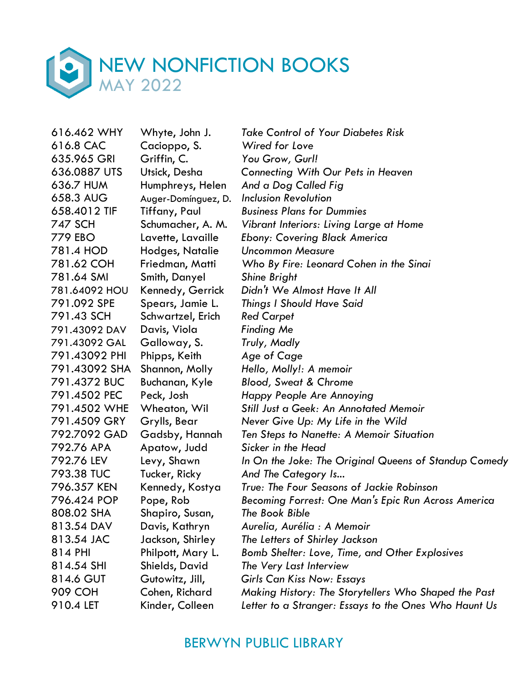

616.8 CAC Cacioppo, S. *Wired for Love* 635.965 GRI Griffin, C. *You Grow, Gurl!* 636.7 HUM Humphreys, Helen *And a Dog Called Fig* 658.3 AUG Auger-Domínguez, D. *Inclusion Revolution* 781.4 HOD Hodges, Natalie *Uncommon Measure* 781.64 SMI Smith, Danyel *Shine Bright* 791.43 SCH Schwartzel, Erich *Red Carpet* 791.43092 DAV Davis, Viola *Finding Me* 791.43092 GAL Galloway, S. *Truly, Madly* 791.43092 PHI Phipps, Keith *Age of Cage* 791.43092 SHA Shannon, Molly *Hello, Molly!: A memoir* 791.4372 BUC Buchanan, Kyle *Blood, Sweat & Chrome* 792.76 APA Apatow, Judd *Sicker in the Head* 793.38 TUC Tucker, Ricky *And The Category Is...* 808.02 SHA Shapiro, Susan, *The Book Bible* 814.54 SHI Shields, David *The Very Last Interview* 910.4 LET Kinder, Colleen *Letter to a Stranger: Essays to the Ones Who Haunt Us*

616.462 WHY Whyte, John J. *Take Control of Your Diabetes Risk* 636.0887 UTS Utsick, Desha *Connecting With Our Pets in Heaven* 658.4012 TIF Tiffany, Paul *Business Plans for Dummies* 747 SCH Schumacher, A. M. *Vibrant Interiors: Living Large at Home* 779 EBO Lavette, Lavaille *Ebony: Covering Black America* 781.62 COH Friedman, Matti *Who By Fire: Leonard Cohen in the Sinai* 781.64092 HOU Kennedy, Gerrick *Didn't We Almost Have It All* 791.092 SPE Spears, Jamie L. *Things I Should Have Said* 791.4502 PEC Peck, Josh *Happy People Are Annoying* 791.4502 WHE Wheaton, Wil *Still Just a Geek: An Annotated Memoir* 791.4509 GRY Grylls, Bear *Never Give Up: My Life in the Wild* 792.7092 GAD Gadsby, Hannah *Ten Steps to Nanette: A Memoir Situation* 792.76 LEV Levy, Shawn *In On the Joke: The Original Queens of Standup Comedy* 796.357 KEN Kennedy, Kostya *True: The Four Seasons of Jackie Robinson* 796.424 POP Pope, Rob *Becoming Forrest: One Man's Epic Run Across America* 813.54 DAV Davis, Kathryn *Aurelia, Aurélia : A Memoir* 813.54 JAC Jackson, Shirley *The Letters of Shirley Jackson* 814 PHI Philpott, Mary L. *Bomb Shelter: Love, Time, and Other Explosives* 814.6 GUT Gutowitz, Jill, *Girls Can Kiss Now: Essays* 909 COH Cohen, Richard *Making History: The Storytellers Who Shaped the Past*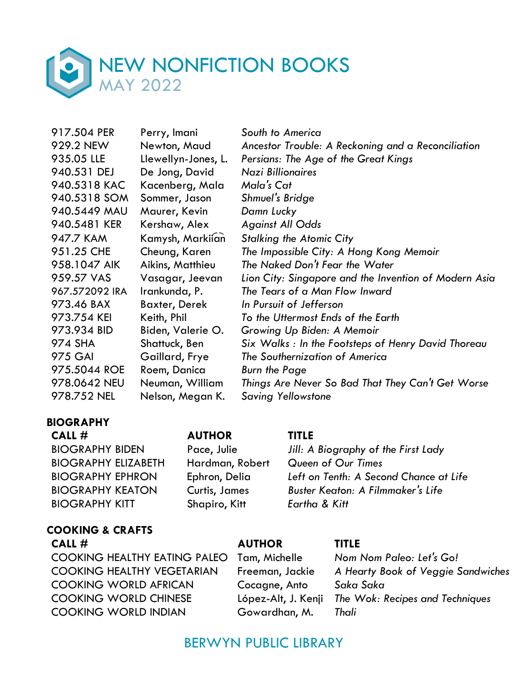

| 917.504 PER    | Perry, Imani         | South to America                                      |
|----------------|----------------------|-------------------------------------------------------|
| 929.2 NEW      | Newton, Maud         | Ancestor Trouble: A Reckoning and a Reconciliation    |
| 935.05 LLE     | Llewellyn-Jones, L.  | Persians: The Age of the Great Kings                  |
| 940.531 DEJ    | De Jong, David       | <b>Nazi Billionaires</b>                              |
| 940.5318 KAC   | Kacenberg, Mala      | Mala's Cat                                            |
| 940.5318 SOM   | Sommer, Jason        | Shmuel's Bridge                                       |
| 940.5449 MAU   | Maurer, Kevin        | Damn Lucky                                            |
| 940.5481 KER   | Kershaw, Alex        | <b>Against All Odds</b>                               |
| 947.7 KAM      | Kamysh, Markiian     | <b>Stalking the Atomic City</b>                       |
| 951.25 CHE     | Cheung, Karen        | The Impossible City: A Hong Kong Memoir               |
| 958.1047 AIK   | Aikins, Matthieu     | The Naked Don't Fear the Water                        |
| 959.57 VAS     | Vasagar, Jeevan      | Lion City: Singapore and the Invention of Modern Asia |
| 967.572092 IRA | Irankunda, P.        | The Tears of a Man Flow Inward                        |
| 973.46 BAX     | <b>Baxter, Derek</b> | In Pursuit of Jefferson                               |
| 973.754 KEI    | Keith, Phil          | To the Uttermost Ends of the Earth                    |
| 973.934 BID    | Biden, Valerie O.    | Growing Up Biden: A Memoir                            |
| 974 SHA        | Shattuck, Ben        | Six Walks: In the Footsteps of Henry David Thoreau    |
| <b>975 GAI</b> | Gaillard, Frye       | The Southernization of America                        |
| 975.5044 ROE   | Roem, Danica         | <b>Burn the Page</b>                                  |
| 978.0642 NEU   | Neuman, William      | Things Are Never So Bad That They Can't Get Worse     |
| 978.752 NEL    | Nelson, Megan K.     | <b>Saving Yellowstone</b>                             |

### **BIOGRAPHY**

**CALL # AUTHOR TITLE** BIOGRAPHY ELIZABETH Hardman, Robert *Queen of Our Times* BIOGRAPHY KITT Shapiro, Kitt *Eartha & Kitt* 

### **COOKING & CRAFTS CALL # AUTHOR TITLE**

COOKING HEALTHY EATING PALEO Tam, Michelle *Nom Nom Paleo: Let's Go!* COOKING HEALTHY VEGETARIAN Freeman, Jackie *A Hearty Book of Veggie Sandwiches* COOKING WORLD AFRICAN Cocagne, Anto *Saka Saka* COOKING WORLD CHINESE López-Alt, J. Kenji *The Wok: Recipes and Techniques* COOKING WORLD INDIAN Gowardhan, M. *Thali*

BIOGRAPHY BIDEN Pace, Julie *Jill: A Biography of the First Lady* BIOGRAPHY EPHRON Ephron, Delia *Left on Tenth: A Second Chance at Life* BIOGRAPHY KEATON Curtis, James *Buster Keaton: A Filmmaker's Life*

# BERWYN PUBLIC LIBRARY